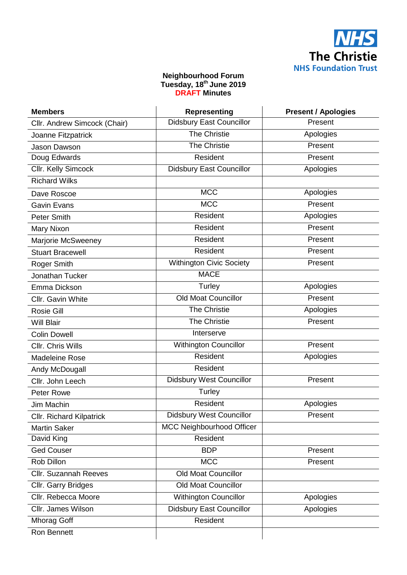

## **Neighbourhood Forum Tuesday, 18th June 2019 DRAFT Minutes**

| <b>Members</b>               | <b>Representing</b>              | <b>Present / Apologies</b> |
|------------------------------|----------------------------------|----------------------------|
| Cllr. Andrew Simcock (Chair) | <b>Didsbury East Councillor</b>  | Present                    |
| Joanne Fitzpatrick           | <b>The Christie</b>              | Apologies                  |
| Jason Dawson                 | <b>The Christie</b>              | Present                    |
| Doug Edwards                 | Resident                         | Present                    |
| Cllr. Kelly Simcock          | <b>Didsbury East Councillor</b>  | Apologies                  |
| <b>Richard Wilks</b>         |                                  |                            |
| Dave Roscoe                  | <b>MCC</b>                       | Apologies                  |
| <b>Gavin Evans</b>           | <b>MCC</b>                       | Present                    |
| <b>Peter Smith</b>           | Resident                         | Apologies                  |
| Mary Nixon                   | Resident                         | Present                    |
| Marjorie McSweeney           | Resident                         | Present                    |
| <b>Stuart Bracewell</b>      | Resident                         | Present                    |
| Roger Smith                  | <b>Withington Civic Society</b>  | Present                    |
| Jonathan Tucker              | <b>MACE</b>                      |                            |
| Emma Dickson                 | Turley                           | Apologies                  |
| Cllr. Gavin White            | <b>Old Moat Councillor</b>       | Present                    |
| Rosie Gill                   | The Christie                     | Apologies                  |
| <b>Will Blair</b>            | <b>The Christie</b>              | Present                    |
| <b>Colin Dowell</b>          | Interserve                       |                            |
| Cllr. Chris Wills            | <b>Withington Councillor</b>     | Present                    |
| Madeleine Rose               | Resident                         | Apologies                  |
| Andy McDougall               | Resident                         |                            |
| Cllr. John Leech             | <b>Didsbury West Councillor</b>  | Present                    |
| Peter Rowe                   | Turley                           |                            |
| Jim Machin                   | Resident                         | Apologies                  |
| Cllr. Richard Kilpatrick     | <b>Didsbury West Councillor</b>  | Present                    |
| <b>Martin Saker</b>          | <b>MCC Neighbourhood Officer</b> |                            |
| David King                   | Resident                         |                            |
| <b>Ged Couser</b>            | <b>BDP</b>                       | Present                    |
| Rob Dillon                   | <b>MCC</b>                       | Present                    |
| Cllr. Suzannah Reeves        | <b>Old Moat Councillor</b>       |                            |
| Cllr. Garry Bridges          | <b>Old Moat Councillor</b>       |                            |
| Cllr. Rebecca Moore          | <b>Withington Councillor</b>     | Apologies                  |
| Cllr. James Wilson           | <b>Didsbury East Councillor</b>  | Apologies                  |
| <b>Mhorag Goff</b>           | Resident                         |                            |
| Ron Bennett                  |                                  |                            |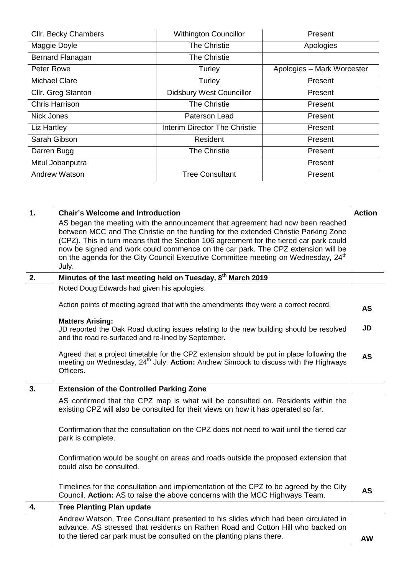| Cllr. Becky Chambers  | <b>Withington Councillor</b>    | Present                    |
|-----------------------|---------------------------------|----------------------------|
| Maggie Doyle          | <b>The Christie</b>             | Apologies                  |
| Bernard Flanagan      | The Christie                    |                            |
| Peter Rowe            | Turley                          | Apologies - Mark Worcester |
| <b>Michael Clare</b>  | Turley                          | Present                    |
| Cllr. Greg Stanton    | <b>Didsbury West Councillor</b> | Present                    |
| <b>Chris Harrison</b> | <b>The Christie</b>             | Present                    |
| Nick Jones            | Paterson Lead                   | Present                    |
| Liz Hartley           | Interim Director The Christie   | Present                    |
| Sarah Gibson          | Resident                        | Present                    |
| Darren Bugg           | <b>The Christie</b>             | Present                    |
| Mitul Jobanputra      |                                 | Present                    |
| Andrew Watson         | <b>Tree Consultant</b>          | Present                    |
|                       |                                 |                            |
|                       |                                 |                            |

| 1. | <b>Chair's Welcome and Introduction</b><br>AS began the meeting with the announcement that agreement had now been reached<br>between MCC and The Christie on the funding for the extended Christie Parking Zone<br>(CPZ). This in turn means that the Section 106 agreement for the tiered car park could<br>now be signed and work could commence on the car park. The CPZ extension will be<br>on the agenda for the City Council Executive Committee meeting on Wednesday, 24 <sup>th</sup><br>July. | <b>Action</b> |
|----|---------------------------------------------------------------------------------------------------------------------------------------------------------------------------------------------------------------------------------------------------------------------------------------------------------------------------------------------------------------------------------------------------------------------------------------------------------------------------------------------------------|---------------|
| 2. | Minutes of the last meeting held on Tuesday, 8 <sup>th</sup> March 2019                                                                                                                                                                                                                                                                                                                                                                                                                                 |               |
|    | Noted Doug Edwards had given his apologies.                                                                                                                                                                                                                                                                                                                                                                                                                                                             |               |
|    | Action points of meeting agreed that with the amendments they were a correct record.                                                                                                                                                                                                                                                                                                                                                                                                                    | AS            |
|    | <b>Matters Arising:</b><br>JD reported the Oak Road ducting issues relating to the new building should be resolved<br>and the road re-surfaced and re-lined by September.                                                                                                                                                                                                                                                                                                                               | JD            |
|    | Agreed that a project timetable for the CPZ extension should be put in place following the<br>meeting on Wednesday, 24 <sup>th</sup> July. Action: Andrew Simcock to discuss with the Highways<br>Officers.                                                                                                                                                                                                                                                                                             | <b>AS</b>     |
| 3. | <b>Extension of the Controlled Parking Zone</b>                                                                                                                                                                                                                                                                                                                                                                                                                                                         |               |
|    | AS confirmed that the CPZ map is what will be consulted on. Residents within the<br>existing CPZ will also be consulted for their views on how it has operated so far.                                                                                                                                                                                                                                                                                                                                  |               |
|    | Confirmation that the consultation on the CPZ does not need to wait until the tiered car<br>park is complete.                                                                                                                                                                                                                                                                                                                                                                                           |               |
|    | Confirmation would be sought on areas and roads outside the proposed extension that<br>could also be consulted.                                                                                                                                                                                                                                                                                                                                                                                         |               |
|    | Timelines for the consultation and implementation of the CPZ to be agreed by the City<br>Council. Action: AS to raise the above concerns with the MCC Highways Team.                                                                                                                                                                                                                                                                                                                                    | <b>AS</b>     |
| 4. | <b>Tree Planting Plan update</b>                                                                                                                                                                                                                                                                                                                                                                                                                                                                        |               |
|    | Andrew Watson, Tree Consultant presented to his slides which had been circulated in<br>advance. AS stressed that residents on Rathen Road and Cotton Hill who backed on<br>to the tiered car park must be consulted on the planting plans there.                                                                                                                                                                                                                                                        | <b>AW</b>     |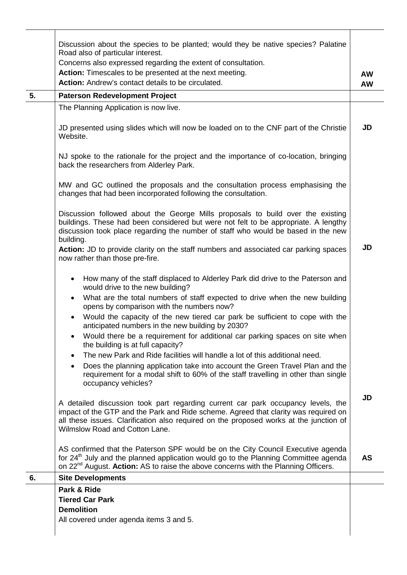|    | Discussion about the species to be planted; would they be native species? Palatine<br>Road also of particular interest.                                                                                                                                                                             |           |
|----|-----------------------------------------------------------------------------------------------------------------------------------------------------------------------------------------------------------------------------------------------------------------------------------------------------|-----------|
|    | Concerns also expressed regarding the extent of consultation.                                                                                                                                                                                                                                       |           |
|    | Action: Timescales to be presented at the next meeting.<br><b>Action:</b> Andrew's contact details to be circulated.                                                                                                                                                                                | <b>AW</b> |
|    |                                                                                                                                                                                                                                                                                                     | <b>AW</b> |
| 5. | <b>Paterson Redevelopment Project</b>                                                                                                                                                                                                                                                               |           |
|    | The Planning Application is now live.                                                                                                                                                                                                                                                               |           |
|    | JD presented using slides which will now be loaded on to the CNF part of the Christie<br>Website.                                                                                                                                                                                                   | JD        |
|    | NJ spoke to the rationale for the project and the importance of co-location, bringing<br>back the researchers from Alderley Park.                                                                                                                                                                   |           |
|    | MW and GC outlined the proposals and the consultation process emphasising the<br>changes that had been incorporated following the consultation.                                                                                                                                                     |           |
|    | Discussion followed about the George Mills proposals to build over the existing<br>buildings. These had been considered but were not felt to be appropriate. A lengthy<br>discussion took place regarding the number of staff who would be based in the new<br>building.                            |           |
|    | Action: JD to provide clarity on the staff numbers and associated car parking spaces<br>now rather than those pre-fire.                                                                                                                                                                             | JD        |
|    | How many of the staff displaced to Alderley Park did drive to the Paterson and<br>would drive to the new building?                                                                                                                                                                                  |           |
|    | What are the total numbers of staff expected to drive when the new building<br>$\bullet$<br>opens by comparison with the numbers now?                                                                                                                                                               |           |
|    | Would the capacity of the new tiered car park be sufficient to cope with the<br>$\bullet$<br>anticipated numbers in the new building by 2030?                                                                                                                                                       |           |
|    | Would there be a requirement for additional car parking spaces on site when<br>the building is at full capacity?                                                                                                                                                                                    |           |
|    | The new Park and Ride facilities will handle a lot of this additional need.<br>$\bullet$<br>Does the planning application take into account the Green Travel Plan and the<br>requirement for a modal shift to 60% of the staff travelling in other than single<br>occupancy vehicles?               |           |
|    | A detailed discussion took part regarding current car park occupancy levels, the<br>impact of the GTP and the Park and Ride scheme. Agreed that clarity was required on<br>all these issues. Clarification also required on the proposed works at the junction of<br>Wilmslow Road and Cotton Lane. | JD        |
|    | AS confirmed that the Paterson SPF would be on the City Council Executive agenda<br>for 24 <sup>th</sup> July and the planned application would go to the Planning Committee agenda<br>on 22 <sup>nd</sup> August. Action: AS to raise the above concerns with the Planning Officers.               | <b>AS</b> |
| 6. | <b>Site Developments</b>                                                                                                                                                                                                                                                                            |           |
|    | Park & Ride                                                                                                                                                                                                                                                                                         |           |
|    | <b>Tiered Car Park</b>                                                                                                                                                                                                                                                                              |           |
|    | <b>Demolition</b>                                                                                                                                                                                                                                                                                   |           |
|    | All covered under agenda items 3 and 5.                                                                                                                                                                                                                                                             |           |
|    |                                                                                                                                                                                                                                                                                                     |           |